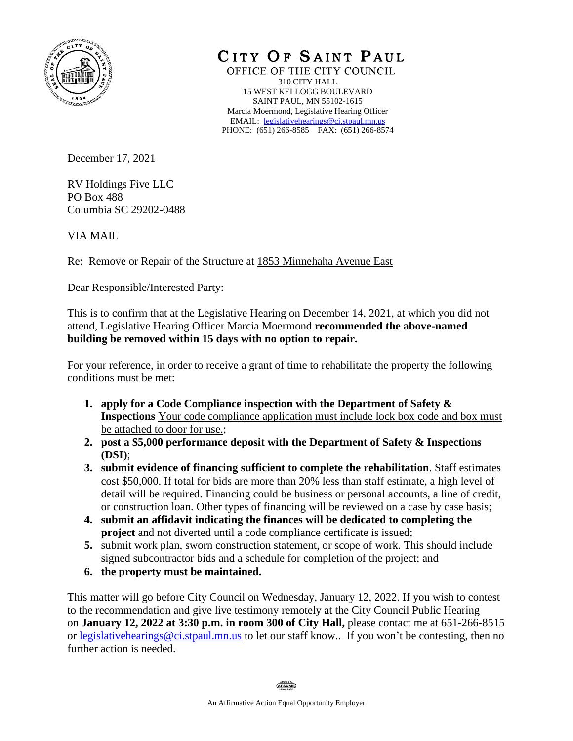

CITY OF SAINT PAUL

OFFICE OF THE CITY COUNCIL 310 CITY HALL 15 WEST KELLOGG BOULEVARD SAINT PAUL, MN 55102-1615 Marcia Moermond, Legislative Hearing Officer EMAIL: [legislativehearings@ci.stpaul.mn.us](mailto:legislativehearings@ci.stpaul.mn.us) PHONE: (651) 266-8585 FAX: (651) 266-8574

December 17, 2021

RV Holdings Five LLC PO Box 488 Columbia SC 29202-0488

VIA MAIL

Re: Remove or Repair of the Structure at 1853 Minnehaha Avenue East

Dear Responsible/Interested Party:

This is to confirm that at the Legislative Hearing on December 14, 2021, at which you did not attend, Legislative Hearing Officer Marcia Moermond **recommended the above-named building be removed within 15 days with no option to repair.** 

For your reference, in order to receive a grant of time to rehabilitate the property the following conditions must be met:

- **1. apply for a Code Compliance inspection with the Department of Safety & Inspections** Your code compliance application must include lock box code and box must be attached to door for use.;
- **2. post a \$5,000 performance deposit with the Department of Safety & Inspections (DSI)**;
- **3. submit evidence of financing sufficient to complete the rehabilitation**. Staff estimates cost \$50,000. If total for bids are more than 20% less than staff estimate, a high level of detail will be required. Financing could be business or personal accounts, a line of credit, or construction loan. Other types of financing will be reviewed on a case by case basis;
- **4. submit an affidavit indicating the finances will be dedicated to completing the project** and not diverted until a code compliance certificate is issued;
- **5.** submit work plan, sworn construction statement, or scope of work. This should include signed subcontractor bids and a schedule for completion of the project; and
- **6. the property must be maintained.**

This matter will go before City Council on Wednesday, January 12, 2022. If you wish to contest to the recommendation and give live testimony remotely at the City Council Public Hearing on **January 12, 2022 at 3:30 p.m. in room 300 of City Hall,** please contact me at 651-266-8515 or [legislativehearings@ci.stpaul.mn.us](mailto:legislativehearings@ci.stpaul.mn.us) to let our staff know.. If you won't be contesting, then no further action is needed.